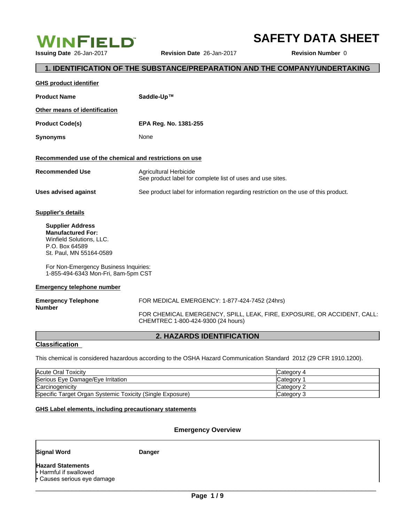

**SAFETY DATA SHEET**

# **1. IDENTIFICATION OF THE SUBSTANCE/PREPARATION AND THE COMPANY/UNDERTAKING**

| <b>GHS product identifier</b>                                                                                                                                                                                |                                                                                                               |
|--------------------------------------------------------------------------------------------------------------------------------------------------------------------------------------------------------------|---------------------------------------------------------------------------------------------------------------|
| <b>Product Name</b>                                                                                                                                                                                          | Saddle-Up™                                                                                                    |
| Other means of identification                                                                                                                                                                                |                                                                                                               |
| <b>Product Code(s)</b>                                                                                                                                                                                       | EPA Reg. No. 1381-255                                                                                         |
| <b>Synonyms</b>                                                                                                                                                                                              | None                                                                                                          |
| Recommended use of the chemical and restrictions on use                                                                                                                                                      |                                                                                                               |
| <b>Recommended Use</b>                                                                                                                                                                                       | Agricultural Herbicide<br>See product label for complete list of uses and use sites.                          |
| <b>Uses advised against</b>                                                                                                                                                                                  | See product label for information regarding restriction on the use of this product.                           |
| <b>Supplier's details</b>                                                                                                                                                                                    |                                                                                                               |
| <b>Supplier Address</b><br><b>Manufactured For:</b><br>Winfield Solutions, LLC.<br>P.O. Box 64589<br>St. Paul, MN 55164-0589<br>For Non-Emergency Business Inquiries:<br>1-855-494-6343 Mon-Fri, 8am-5pm CST |                                                                                                               |
| <b>Emergency telephone number</b>                                                                                                                                                                            |                                                                                                               |
| <b>Emergency Telephone</b><br><b>Number</b>                                                                                                                                                                  | FOR MEDICAL EMERGENCY: 1-877-424-7452 (24hrs)                                                                 |
|                                                                                                                                                                                                              | FOR CHEMICAL EMERGENCY, SPILL, LEAK, FIRE, EXPOSURE, OR ACCIDENT, CALL:<br>CHEMTREC 1-800-424-9300 (24 hours) |

**2. HAZARDS IDENTIFICATION**

This chemical is considered hazardous according to the OSHA Hazard Communication Standard 2012 (29 CFR 1910.1200).

| Acute Oral Toxicity                                       | Category 4 |
|-----------------------------------------------------------|------------|
| Serious Eye Damage/Eye Irritation                         | Category   |
| Carcinogenicity                                           | Category 2 |
| Specific Target Organ Systemic Toxicity (Single Exposure) | Category 3 |

## **GHS Label elements, including precautionary statements**

# **Emergency Overview**

**Signal Word Danger**

**Classification** 

**Hazard Statements** • Harmful if swallowed  $\cdot$  Causes serious eye damage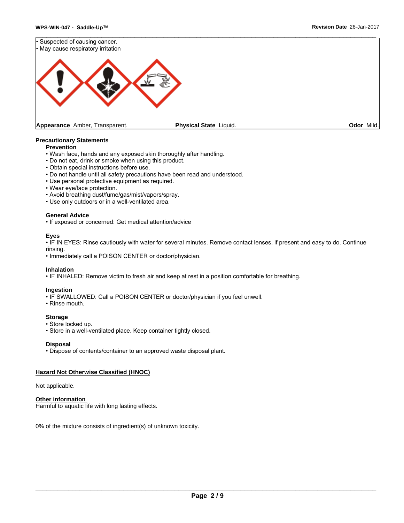

#### **Precautionary Statements**

# **Prevention**

- Wash face, hands and any exposed skin thoroughly after handling.
- Do not eat, drink or smoke when using this product.
- Obtain special instructions before use.
- Do not handle until all safety precautions have been read and understood.
- Use personal protective equipment as required.
- Wear eye/face protection.
- Avoid breathing dust/fume/gas/mist/vapors/spray.
- Use only outdoors or in a well-ventilated area.

## **General Advice**

• If exposed or concerned: Get medical attention/advice

### **Eyes**

• IF IN EYES: Rinse cautiously with water for several minutes. Remove contact lenses, if present and easy to do. Continue rinsing.

• Immediately call a POISON CENTER or doctor/physician.

### **Inhalation**

• IF INHALED: Remove victim to fresh air and keep at rest in a position comfortable for breathing.

#### **Ingestion**

- IF SWALLOWED: Call a POISON CENTER or doctor/physician if you feel unwell.
- Rinse mouth.

### **Storage**

- Store locked up.
- Store in a well-ventilated place. Keep container tightly closed.

### **Disposal**

• Dispose of contents/container to an approved waste disposal plant.

### **Hazard Not Otherwise Classified (HNOC)**

#### Not applicable.

### **Other information**

Harmful to aquatic life with long lasting effects.

0% of the mixture consists of ingredient(s) of unknown toxicity.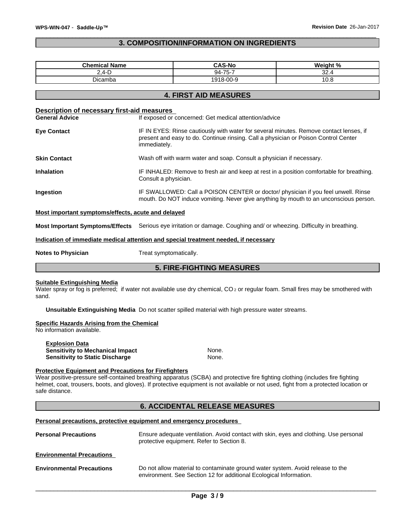# **3. COMPOSITION/INFORMATION ON INGREDIENTS**

| <b>Chemical Name</b>                                                                                       |                                                                                                                                                                                               | <b>CAS-No</b>                                                                                                                                                                                                                                                          | Weight % |  |
|------------------------------------------------------------------------------------------------------------|-----------------------------------------------------------------------------------------------------------------------------------------------------------------------------------------------|------------------------------------------------------------------------------------------------------------------------------------------------------------------------------------------------------------------------------------------------------------------------|----------|--|
| $2,4-D$                                                                                                    |                                                                                                                                                                                               | 94-75-7                                                                                                                                                                                                                                                                | 32.4     |  |
| Dicamba                                                                                                    |                                                                                                                                                                                               | 1918-00-9                                                                                                                                                                                                                                                              | 10.8     |  |
|                                                                                                            |                                                                                                                                                                                               | <b>4. FIRST AID MEASURES</b>                                                                                                                                                                                                                                           |          |  |
| Description of necessary first-aid measures                                                                |                                                                                                                                                                                               |                                                                                                                                                                                                                                                                        |          |  |
| <b>General Advice</b>                                                                                      |                                                                                                                                                                                               | If exposed or concerned: Get medical attention/advice                                                                                                                                                                                                                  |          |  |
| <b>Eye Contact</b>                                                                                         | IF IN EYES: Rinse cautiously with water for several minutes. Remove contact lenses, if<br>present and easy to do. Continue rinsing. Call a physician or Poison Control Center<br>immediately. |                                                                                                                                                                                                                                                                        |          |  |
| <b>Skin Contact</b>                                                                                        |                                                                                                                                                                                               | Wash off with warm water and soap. Consult a physician if necessary.                                                                                                                                                                                                   |          |  |
| <b>Inhalation</b>                                                                                          | IF INHALED: Remove to fresh air and keep at rest in a position comfortable for breathing.<br>Consult a physician.                                                                             |                                                                                                                                                                                                                                                                        |          |  |
| Ingestion                                                                                                  | IF SWALLOWED: Call a POISON CENTER or doctor/ physician if you feel unwell. Rinse<br>mouth. Do NOT induce vomiting. Never give anything by mouth to an unconscious person.                    |                                                                                                                                                                                                                                                                        |          |  |
| Most important symptoms/effects, acute and delayed                                                         |                                                                                                                                                                                               |                                                                                                                                                                                                                                                                        |          |  |
|                                                                                                            |                                                                                                                                                                                               | Most Important Symptoms/Effects Serious eye irritation or damage. Coughing and/ or wheezing. Difficulty in breathing.                                                                                                                                                  |          |  |
| Indication of immediate medical attention and special treatment needed, if necessary                       |                                                                                                                                                                                               |                                                                                                                                                                                                                                                                        |          |  |
| <b>Notes to Physician</b>                                                                                  | Treat symptomatically.                                                                                                                                                                        |                                                                                                                                                                                                                                                                        |          |  |
|                                                                                                            |                                                                                                                                                                                               | <b>5. FIRE-FIGHTING MEASURES</b>                                                                                                                                                                                                                                       |          |  |
| <b>Suitable Extinguishing Media</b><br>sand.                                                               |                                                                                                                                                                                               | Water spray or fog is preferred; if water not available use dry chemical, CO <sub>2</sub> or regular foam. Small fires may be smothered with                                                                                                                           |          |  |
|                                                                                                            |                                                                                                                                                                                               | Unsuitable Extinguishing Media Do not scatter spilled material with high pressure water streams.                                                                                                                                                                       |          |  |
| <b>Specific Hazards Arising from the Chemical</b><br>No information available.                             |                                                                                                                                                                                               |                                                                                                                                                                                                                                                                        |          |  |
| <b>Explosion Data</b><br><b>Sensitivity to Mechanical Impact</b><br><b>Sensitivity to Static Discharge</b> |                                                                                                                                                                                               | None.<br>None.                                                                                                                                                                                                                                                         |          |  |
| <b>Protective Equipment and Precautions for Firefighters</b><br>safe distance.                             |                                                                                                                                                                                               | Wear positive-pressure self-contained breathing apparatus (SCBA) and protective fire fighting clothing (includes fire fighting<br>helmet, coat, trousers, boots, and gloves). If protective equipment is not available or not used, fight from a protected location or |          |  |

# **6. ACCIDENTAL RELEASE MEASURES**

**Personal precautions, protective equipment and emergency procedures**

| <b>Personal Precautions</b>      | Ensure adequate ventilation. Avoid contact with skin, eyes and clothing. Use personal<br>protective equipment. Refer to Section 8.                   |
|----------------------------------|------------------------------------------------------------------------------------------------------------------------------------------------------|
| <b>Environmental Precautions</b> |                                                                                                                                                      |
| <b>Environmental Precautions</b> | Do not allow material to contaminate ground water system. Avoid release to the<br>environment. See Section 12 for additional Ecological Information. |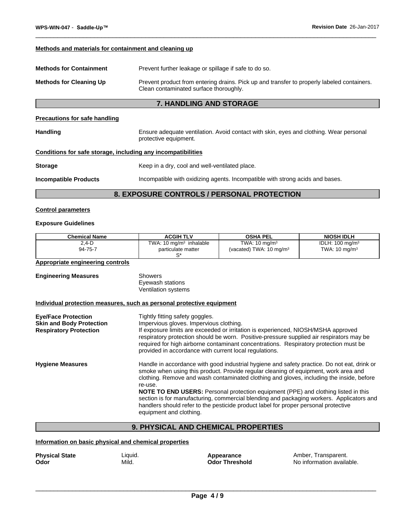#### **Methods and materials for containment and cleaning up**

| <b>Methods for Containment</b> | Prevent further leakage or spillage if safe to do so.                                                                                |
|--------------------------------|--------------------------------------------------------------------------------------------------------------------------------------|
| <b>Methods for Cleaning Up</b> | Prevent product from entering drains. Pick up and transfer to properly labeled containers.<br>Clean contaminated surface thoroughly. |

# **7. HANDLING AND STORAGE**

#### **Precautions for safe handling**

Handling **Ensure adequate ventilation. Avoid contact with skin, eyes and clothing. Wear personal** protective equipment.

## **Conditions for safe storage, including any incompatibilities**

**Storage Keep in a dry, cool and well-ventilated place.** 

**Incompatible Products** Incompatible with oxidizing agents. Incompatible with strong acids and bases.

# **8. EXPOSURE CONTROLS / PERSONAL PROTECTION**

#### **Control parameters**

#### **Exposure Guidelines**

| <b>Chemical Name</b>                                                                           | <b>ACGIH TLV</b>                                                                                                                     | <b>OSHA PEL</b>                                                                                                                                                                                                                                                                                                                                                                                                                                                                                                                                         | <b>NIOSH IDLH</b>                                         |
|------------------------------------------------------------------------------------------------|--------------------------------------------------------------------------------------------------------------------------------------|---------------------------------------------------------------------------------------------------------------------------------------------------------------------------------------------------------------------------------------------------------------------------------------------------------------------------------------------------------------------------------------------------------------------------------------------------------------------------------------------------------------------------------------------------------|-----------------------------------------------------------|
| $2.4-D$<br>94-75-7                                                                             | TWA: 10 $mg/m3$ inhalable<br>particulate matter<br>$S^*$                                                                             | TWA: $10 \text{ mg/m}^3$<br>(vacated) TWA: $10 \text{ mg/m}^3$                                                                                                                                                                                                                                                                                                                                                                                                                                                                                          | IDLH: $100$ mg/m <sup>3</sup><br>TWA: $10 \text{ mg/m}^3$ |
| Appropriate engineering controls                                                               |                                                                                                                                      |                                                                                                                                                                                                                                                                                                                                                                                                                                                                                                                                                         |                                                           |
| <b>Engineering Measures</b>                                                                    | <b>Showers</b><br>Eyewash stations<br>Ventilation systems                                                                            |                                                                                                                                                                                                                                                                                                                                                                                                                                                                                                                                                         |                                                           |
| Individual protection measures, such as personal protective equipment                          |                                                                                                                                      |                                                                                                                                                                                                                                                                                                                                                                                                                                                                                                                                                         |                                                           |
| <b>Eye/Face Protection</b><br><b>Skin and Body Protection</b><br><b>Respiratory Protection</b> | Tightly fitting safety goggles.<br>Impervious gloves. Impervious clothing.<br>provided in accordance with current local regulations. | If exposure limits are exceeded or irritation is experienced, NIOSH/MSHA approved<br>respiratory protection should be worn. Positive-pressure supplied air respirators may be<br>required for high airborne contaminant concentrations. Respiratory protection must be                                                                                                                                                                                                                                                                                  |                                                           |
| <b>Hygiene Measures</b>                                                                        | re-use.<br>equipment and clothing.                                                                                                   | Handle in accordance with good industrial hygiene and safety practice. Do not eat, drink or<br>smoke when using this product. Provide regular cleaning of equipment, work area and<br>clothing. Remove and wash contaminated clothing and gloves, including the inside, before<br>NOTE TO END USERS: Personal protection equipment (PPE) and clothing listed in this<br>section is for manufacturing, commercial blending and packaging workers. Applicators and<br>handlers should refer to the pesticide product label for proper personal protective |                                                           |

# **9. PHYSICAL AND CHEMICAL PROPERTIES**

# **Information on basic physical and chemical properties**

| <b>Physical State</b> | Liquid. | Appearance           |
|-----------------------|---------|----------------------|
| Odor                  | Mild.   | <b>Odor Threshol</b> |

**Physical State** Amber, Transparent.<br>**Reference Amber, Transparent.** No information availa **No information available.**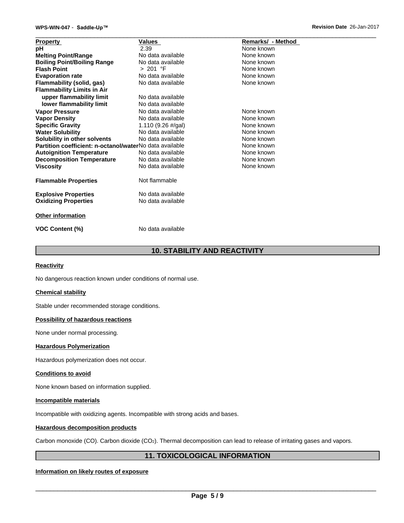| <b>Property</b>                                         | Values             | Remarks/ - Method |
|---------------------------------------------------------|--------------------|-------------------|
| рH                                                      | 2.39               | None known        |
| <b>Melting Point/Range</b>                              | No data available  | None known        |
| <b>Boiling Point/Boiling Range</b>                      | No data available  | None known        |
| <b>Flash Point</b>                                      | > 201 °F           | None known        |
| <b>Evaporation rate</b>                                 | No data available  | None known        |
| Flammability (solid, gas)                               | No data available  | None known        |
| <b>Flammability Limits in Air</b>                       |                    |                   |
| upper flammability limit                                | No data available  |                   |
| lower flammability limit                                | No data available  |                   |
| <b>Vapor Pressure</b>                                   | No data available  | None known        |
| <b>Vapor Density</b>                                    | No data available  | None known        |
| <b>Specific Gravity</b>                                 | 1.110 (9.26 #/gal) | None known        |
| <b>Water Solubility</b>                                 | No data available  | None known        |
| Solubility in other solvents                            | No data available  | None known        |
| Partition coefficient: n-octanol/waterNo data available |                    | None known        |
| <b>Autoignition Temperature</b>                         | No data available  | None known        |
| <b>Decomposition Temperature</b>                        | No data available  | None known        |
| <b>Viscosity</b>                                        | No data available  | None known        |
|                                                         |                    |                   |
| <b>Flammable Properties</b>                             | Not flammable      |                   |
|                                                         |                    |                   |
| <b>Explosive Properties</b>                             | No data available  |                   |
| <b>Oxidizing Properties</b>                             | No data available  |                   |
|                                                         |                    |                   |
| <b>Other information</b>                                |                    |                   |
| <b>VOC Content (%)</b>                                  | No data available  |                   |

# **10. STABILITY AND REACTIVITY**

#### **Reactivity**

No dangerous reaction known under conditions of normal use.

#### **Chemical stability**

Stable under recommended storage conditions.

## **Possibility of hazardous reactions**

None under normal processing.

#### **Hazardous Polymerization**

Hazardous polymerization does not occur.

#### **Conditions to avoid**

None known based on information supplied.

#### **Incompatible materials**

Incompatible with oxidizing agents. Incompatible with strong acids and bases.

#### **Hazardous decomposition products**

Carbon monoxide (CO). Carbon dioxide (CO2). Thermal decomposition can lead to release of irritating gases and vapors.

# **11. TOXICOLOGICAL INFORMATION**

## **Information on likely routes of exposure**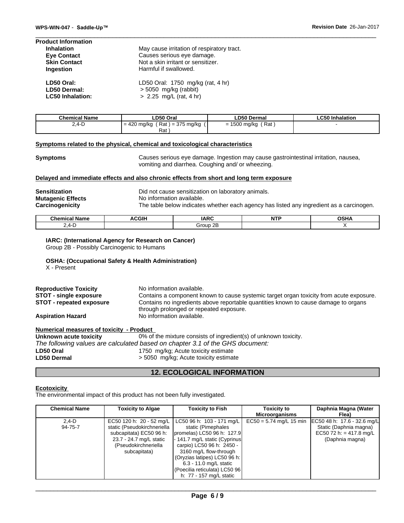| <b>Product Information</b> |                                            |
|----------------------------|--------------------------------------------|
| <b>Inhalation</b>          | May cause irritation of respiratory tract. |
| <b>Eye Contact</b>         | Causes serious eye damage.                 |
| <b>Skin Contact</b>        | Not a skin irritant or sensitizer.         |
| Ingestion                  | Harmful if swallowed.                      |
| LD50 Oral:                 | LD50 Oral: 1750 mg/kg (rat, 4 hr)          |
| <b>LD50 Dermal:</b>        | $> 5050$ mg/kg (rabbit)                    |
| <b>LC50 Inhalation:</b>    | > 2.25 mg/L (rat, 4 hr)                    |

| <b>Chemical Name</b> | LD50 Oral                                                   | <b>LD50 Dermal</b>                      | ∟C50 Inhalation |
|----------------------|-------------------------------------------------------------|-----------------------------------------|-----------------|
| ' ∸۰.4<br>ں ۔        | $\sqrt{2}$<br>) = 375 mg/kg<br>Rat<br>∣ mg/kg<br>$=$<br>42V | Rat<br>rno.<br>) mg/kg<br>-<br>OUC<br>= |                 |
|                      | Rat                                                         |                                         |                 |

#### **Symptoms related to the physical,chemical and toxicological characteristics**

**Symptoms** Causes serious eye damage. Ingestion may cause gastrointestinal irritation, nausea, vomiting and diarrhea. Coughing and/ or wheezing.

## **Delayed and immediate effects and also chronic effects from short and long term exposure**

| <b>Sensitization</b>     | Did not cause sensitization on laboratory animals.                                       |
|--------------------------|------------------------------------------------------------------------------------------|
| <b>Mutagenic Effects</b> | No information available.                                                                |
| Carcinogenicity          | The table below indicates whether each agency has listed any ingredient as a carcinogen. |

| $\mathbb{R}^n$ contains $\mathbb{R}^n$<br>Name<br>nΔl<br>шьа | $\sim$ $\sim$ $\sim$<br>л. | IAPC<br>INIV     | $\sim$<br>. | ∽•<br>ъ<br>. |
|--------------------------------------------------------------|----------------------------|------------------|-------------|--------------|
| $\mathbf{r}$<br>--<br>-                                      |                            | റ⊏<br>∔r∩⊔n<br>u |             |              |

**IARC: (International Agency for Research on Cancer)** Group 2B - Possibly Carcinogenic to Humans

#### **OSHA: (Occupational Safety & Health Administration)**

X - Present

| <b>Reproductive Toxicity</b>  | No information available.                                                               |
|-------------------------------|-----------------------------------------------------------------------------------------|
| <b>STOT - single exposure</b> | Contains a component known to cause systemic target organ toxicity from acute exposure. |
| STOT - repeated exposure      | Contains no ingredients above reportable quantities known to cause damage to organs     |
| <b>Aspiration Hazard</b>      | through prolonged or repeated exposure.<br>No information available.                    |

| <b>Numerical measures of toxicity - Product</b> |                                                                               |
|-------------------------------------------------|-------------------------------------------------------------------------------|
| Unknown acute toxicity                          | 0% of the mixture consists of ingredient(s) of unknown toxicity.              |
|                                                 | The following values are calculated based on chapter 3.1 of the GHS document: |
| LD50 Oral                                       | 1750 mg/kg; Acute toxicity estimate                                           |
| <b>LD50 Dermal</b>                              | > 5050 mg/kg; Acute toxicity estimate                                         |

# **12. ECOLOGICAL INFORMATION**

#### **Ecotoxicity**

The environmental impact of this product has not been fully investigated.

| <b>Chemical Name</b> | <b>Toxicity to Algae</b>    | <b>Toxicity to Fish</b>                              | <b>Toxicity to</b><br><b>Microorganisms</b> | Daphnia Magna (Water<br>Flea)                         |
|----------------------|-----------------------------|------------------------------------------------------|---------------------------------------------|-------------------------------------------------------|
|                      |                             |                                                      |                                             |                                                       |
| $2.4-D$              |                             | EC50 120 h: 20 - 52 mg/L   LC50 96 h: 103 - 171 mg/L |                                             | EC50 = 5.74 mg/L 15 min   EC50 48 h: 17.6 - 32.6 mg/L |
| 94-75-7              | static (Pseudokirchneriella | static (Pimephales                                   |                                             | Static (Daphnia magna)                                |
|                      | subcapitata) EC50 96 h:     | promelas) LC50 96 h: 127.9                           |                                             | EC50 72 h: = 417.8 mg/L                               |
|                      | 23.7 - 24.7 mg/L static     | - 141.7 mg/L static (Cyprinus)                       |                                             | (Daphnia magna)                                       |
|                      | (Pseudokirchneriella        | carpio) LC50 96 h: 2450 -                            |                                             |                                                       |
|                      | subcapitata)                | 3160 mg/L flow-through                               |                                             |                                                       |
|                      |                             | (Oryzias latipes) LC50 96 h:                         |                                             |                                                       |
|                      |                             | 6.3 - 11.0 mg/L static                               |                                             |                                                       |
|                      |                             | (Poecilia reticulata) LC50 96                        |                                             |                                                       |
|                      |                             | h: 77 - 157 mg/L static                              |                                             |                                                       |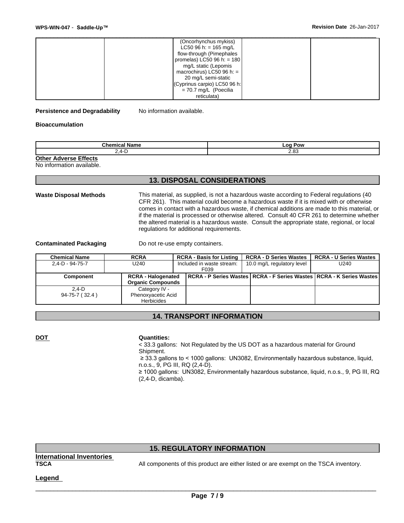| WPS-WIN-047 - Saddle-Up™ |                                                                                                                                                                                                                                                     | Revision Date 26-Jan-2017 |
|--------------------------|-----------------------------------------------------------------------------------------------------------------------------------------------------------------------------------------------------------------------------------------------------|---------------------------|
|                          | (Oncorhynchus mykiss)<br>LC50 96 h: = 165 mg/L<br>flow-through (Pimephales<br>promelas) LC50 96 h: = $180$<br>mg/L static (Lepomis<br>macrochirus) LC50 96 h: $=$<br>20 mg/L semi-static<br>(Cyprinus carpio) LC50 96 h:<br>$= 70.7$ mg/L (Poecilia |                           |
|                          | reticulata)                                                                                                                                                                                                                                         |                           |

#### **Persistence and Degradability** No information available.

#### **Bioaccumulation**

| --<br>"alllu<br>. | . റ്<br>Pow<br>--<br>- |
|-------------------|------------------------|
| $\Lambda$         | $\sim$                 |
| .                 | . . u                  |

**Other Adverse Effects**

No information available.

# **13. DISPOSAL CONSIDERATIONS**

**Waste Disposal Methods** This material, as supplied, is not a hazardous waste according to Federal regulations (40 CFR 261). This material could become a hazardous waste if it is mixed with or otherwise comes in contact with a hazardous waste, if chemical additions are made to this material, or if the material is processed or otherwise altered. Consult 40 CFR 261 to determine whether the altered material is a hazardous waste. Consult the appropriate state, regional, or local regulations for additional requirements.

**Contaminated Packaging Do not re-use empty containers.** 

| <b>Chemical Name</b>    | <b>RCRA</b>               | <b>RCRA - Basis for Listing</b> | <b>RCRA - D Series Wastes</b>                                            | <b>RCRA - U Series Wastes</b> |
|-------------------------|---------------------------|---------------------------------|--------------------------------------------------------------------------|-------------------------------|
| $2.4 - D - 94 - 75 - 7$ | U240                      | Included in waste stream:       |                                                                          | U240                          |
|                         |                           | F039                            |                                                                          |                               |
| Component               | <b>RCRA - Halogenated</b> |                                 | RCRA - P Series Wastes   RCRA - F Series Wastes   RCRA - K Series Wastes |                               |
|                         | <b>Organic Compounds</b>  |                                 |                                                                          |                               |
| 2.4-D                   | Category IV -             |                                 |                                                                          |                               |
| 94-75-7 (32.4)          | Phenoxyacetic Acid        |                                 |                                                                          |                               |
|                         | Herbicides                |                                 |                                                                          |                               |

# **14. TRANSPORT INFORMATION**

#### **DOT Quantities:**

< 33.3 gallons: Not Regulated by the US DOT as a hazardous material for Ground Shipment. ≥ 33.3 gallons to < 1000 gallons: UN3082, Environmentally hazardous substance, liquid,

n.o.s., 9, PG III, RQ (2,4-D). ≥ 1000 gallons: UN3082, Environmentally hazardous substance, liquid, n.o.s., 9, PG III, RQ (2,4-D, dicamba).

# **15. REGULATORY INFORMATION**

**International Inventories**

**TSCA** All components of this product are either listed or are exempt on the TSCA inventory.

 $\overline{\phantom{a}}$  ,  $\overline{\phantom{a}}$  ,  $\overline{\phantom{a}}$  ,  $\overline{\phantom{a}}$  ,  $\overline{\phantom{a}}$  ,  $\overline{\phantom{a}}$  ,  $\overline{\phantom{a}}$  ,  $\overline{\phantom{a}}$  ,  $\overline{\phantom{a}}$  ,  $\overline{\phantom{a}}$  ,  $\overline{\phantom{a}}$  ,  $\overline{\phantom{a}}$  ,  $\overline{\phantom{a}}$  ,  $\overline{\phantom{a}}$  ,  $\overline{\phantom{a}}$  ,  $\overline{\phantom{a}}$ 

**Legend**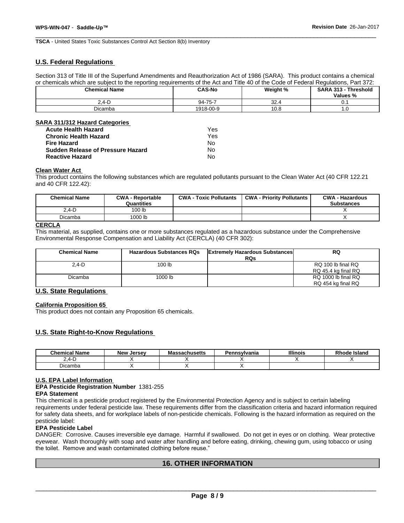**TSCA** - United States Toxic Substances Control Act Section 8(b) Inventory

# **U.S. Federal Regulations**

Section 313 of Title III of the Superfund Amendments and Reauthorization Act of 1986 (SARA). This product contains a chemical or chemicals which are subject to the reporting requirements of the Act and Title 40 of the Code of Federal Regulations, Part 372:

| <b>Chemical Name</b> | <b>CAS-No</b><br>Weight % |               | <b>SARA 313 -</b><br>· Threshold |
|----------------------|---------------------------|---------------|----------------------------------|
|                      |                           |               | Values %                         |
| $-0.4 - 1$           | 94-75-7                   | $\sim$<br>∵ےت | υ.                               |
| <b>Dicamba</b>       | 1918-00-9                 | 10.8          | $\cdot \cdot \circ$              |

## **SARA 311/312 Hazard Categories**

| <b>Acute Health Hazard</b>               | Yes |
|------------------------------------------|-----|
| <b>Chronic Health Hazard</b>             | Yes |
| <b>Fire Hazard</b>                       | N٥  |
| <b>Sudden Release of Pressure Hazard</b> | No  |
| <b>Reactive Hazard</b>                   | No  |

#### **Clean Water Act**

This product contains the following substances which are regulated pollutants pursuant to the Clean Water Act (40 CFR 122.21 and 40 CFR 122.42):

| <b>Chemical Name</b> | <b>CWA - Reportable</b><br>Quantities | <b>CWA - Toxic Pollutants</b> | <b>CWA - Priority Pollutants</b> | <b>CWA - Hazardous</b><br><b>Substances</b> |
|----------------------|---------------------------------------|-------------------------------|----------------------------------|---------------------------------------------|
| $2,4-D$              | 100 lb                                |                               |                                  |                                             |
| Dicamba              | <sup>1</sup> 000 lb                   |                               |                                  |                                             |

## **CERCLA**

This material, as supplied, contains one or more substances regulated as a hazardous substance under the Comprehensive Environmental Response Compensation and Liability Act (CERCLA) (40 CFR 302):

| <b>Chemical Name</b> | <b>Hazardous Substances RQs</b> | <b>Extremely Hazardous Substances</b><br><b>RQs</b> | RQ                                         |
|----------------------|---------------------------------|-----------------------------------------------------|--------------------------------------------|
| $2.4-D$              | 100 lb                          |                                                     | RQ 100 lb final RQ                         |
| Dicamba              | 1000 lb                         |                                                     | RQ 45.4 kg final RQ<br>RQ 1000 lb final RQ |
|                      |                                 |                                                     | RQ 454 kg final RQ                         |

# **U.S. State Regulations**

#### **California Proposition 65**

This product does not contain any Proposition 65 chemicals.

### **U.S. State Right-to-Know Regulations**

| <b>Chemical Name</b> | Jersev<br>New | sachusetts | Pennsylvania | <b>Illinois</b> | $ -$<br>Island<br><b>Rhode</b> |
|----------------------|---------------|------------|--------------|-----------------|--------------------------------|
| ட-                   |               |            |              |                 |                                |
| - '<br>Dicamba       |               |            |              |                 |                                |

#### **U.S. EPA Label Information**

**EPA Pesticide Registration Number** 1381-255

## **EPA Statement**

This chemical is a pesticide product registered by the Environmental Protection Agency and is subject to certain labeling requirements under federal pesticide law. These requirements differ from the classification criteria and hazard information required for safety data sheets, and for workplace labels of non-pesticide chemicals. Following is the hazard information as required on the pesticide label:

#### **EPA Pesticide Label**

DANGER: Corrosive. Causes irreversible eye damage. Harmful if swallowed. Do not get in eyes or on clothing. Wear protective eyewear. Wash thoroughly with soap and water after handling and before eating, drinking, chewing gum, using tobacco or using the toilet. Remove and wash contaminated clothing before reuse."

# **16. OTHER INFORMATION**